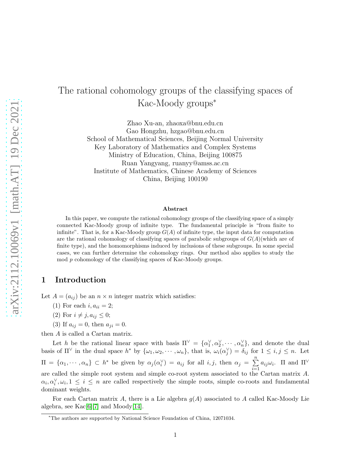# The rational cohomology groups of the classifying spaces of Kac-Moody groups<sup>∗</sup>

Zhao Xu-an, zhaoxa@bnu.edu.cn Gao Hongzhu, hzgao@bnu.edu.cn School of Mathematical Sciences, Beijing Normal University Key Laboratory of Mathematics and Complex Systems Ministry of Education, China, Beijing 100875 Ruan Yangyang, ruanyy@amss.ac.cn Institute of Mathematics, Chinese Academy of Sciences China, Beijing 100190

#### Abstract

In this paper, we compute the rational cohomology groups of the classifying space of a simply connected Kac-Moody group of infinite type. The fundamental principle is "from finite to infinite". That is, for a Kac-Moody group  $G(A)$  of infinite type, the input data for computation are the rational cohomology of classifying spaces of parabolic subgroups of  $G(A)$ (which are of finite type), and the homomorphisms induced by inclusions of these subgroups. In some special cases, we can further determine the cohomology rings. Our method also applies to study the mod p cohomology of the classifying spaces of Kac-Moody groups.

#### 1 Introduction

Let  $A = (a_{ij})$  be an  $n \times n$  integer matrix which satisfies:

- (1) For each  $i, a_{ii} = 2;$
- (2) For  $i \neq j$ ,  $a_{ij} \leq 0$ ;
- (3) If  $a_{ij} = 0$ , then  $a_{ji} = 0$ .

then A is called a Cartan matrix.

Let h be the rational linear space with basis  $\Pi^{\vee} = {\alpha_1^{\vee}, \alpha_2^{\vee}, \cdots, \alpha_n^{\vee}}$ , and denote the dual basis of  $\Pi^{\vee}$  in the dual space  $h^*$  by  $\{\omega_1, \omega_2, \cdots, \omega_n\}$ , that is,  $\omega_i(\alpha_j^{\vee}) = \delta_{ij}$  for  $1 \leq i, j \leq n$ . Let  $\Pi = {\alpha_1, \dots, \alpha_n} \subset h^*$  be given by  $\alpha_j(\alpha_i^{\vee}) = a_{ij}$  for all  $i, j$ , then  $\alpha_j = \sum_{i=1}^n a_i$  $i=1$  $a_{ij}\omega_i$ . Π and  $\Pi^{\vee}$ are called the simple root system and simple co-root system associated to the Cartan matrix A.  $\alpha_i, \alpha_i^{\vee}, \omega_i, 1 \leq i \leq n$  are called respectively the simple roots, simple co-roots and fundamental dominant weights.

For each Cartan matrix A, there is a Lie algebra  $g(A)$  associated to A called Kac-Moody Lie algebra, see  $Kac[6][7]$  $Kac[6][7]$  $Kac[6][7]$  and  $Mody[14]$  $Mody[14]$ .

<sup>∗</sup>The authors are supported by National Science Foundation of China, 12071034.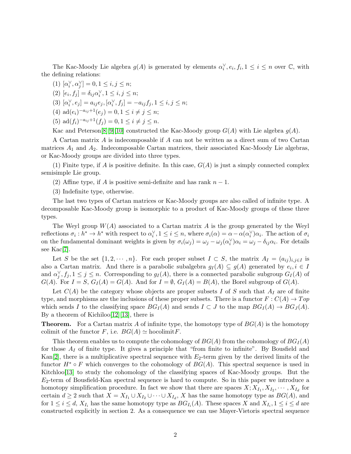The Kac-Moody Lie algebra  $g(A)$  is generated by elements  $\alpha_i^{\vee}, e_i, f_i, 1 \leq i \leq n$  over  $\mathbb{C}$ , with the defining relations:

(1)  $[\alpha_i^{\vee}, \alpha_j^{\vee}] = 0, 1 \le i, j \le n;$ 

(2)  $[e_i, f_j] = \delta_{ij} \alpha_i^{\vee}, 1 \le i, j \le n;$ 

(3)  $[\alpha_i^{\vee}, e_j] = a_{ij}e_j, [\alpha_i^{\vee}, f_j] = -a_{ij}f_j, 1 \le i, j \le n;$ 

(4) ad( $e_i$ )<sup>-a<sub>ij</sub>+1</sup>( $e_j$ ) = 0, 1 ≤ *i* ≠ *j* ≤ *n*;

(5) ad $(f_i)^{-a_{ij}+1}(f_j) = 0, 1 \leq i \neq j \leq n$ .

Kac and Peterson[\[8\]](#page-15-3)[\[9\]](#page-15-4)[\[10\]](#page-15-5) constructed the Kac-Moody group  $G(A)$  with Lie algebra  $g(A)$ .

A Cartan matrix A is indecomposable if A can not be written as a direct sum of two Cartan matrices  $A_1$  and  $A_2$ . Indecomposable Cartan matrices, their associated Kac-Moody Lie algebras, or Kac-Moody groups are divided into three types.

(1) Finite type, if A is positive definite. In this case,  $G(A)$  is just a simply connected complex semisimple Lie group.

(2) Affine type, if A is positive semi-definite and has rank  $n-1$ .

(3) Indefinite type, otherwise.

The last two types of Cartan matrices or Kac-Moody groups are also called of infinite type. A decomposable Kac-Moody group is isomorphic to a product of Kac-Moody groups of these three types.

The Weyl group  $W(A)$  associated to a Cartan matrix A is the group generated by the Weyl reflections  $\sigma_i : h^* \to h^*$  with respect to  $\alpha_i^{\vee}, 1 \leq i \leq n$ , where  $\sigma_i(\alpha) = \alpha - \alpha(\alpha_i^{\vee})\alpha_i$ . The action of  $\sigma_i$ on the fundamental dominant weights is given by  $\sigma_i(\omega_j) = \omega_j - \omega_j(\alpha_i^{\vee})\alpha_i = \omega_j - \delta_{ij}\alpha_i$ . For details see Kac[\[7\]](#page-15-1).

Let S be the set  $\{1, 2, \dots, n\}$ . For each proper subset  $I \subset S$ , the matrix  $A_I = (a_{ij})_{i,j \in I}$  is also a Cartan matrix. And there is a parabolic subalgebra  $g_I(A) \subseteq g(A)$  generated by  $e_i, i \in I$ and  $\alpha_j^{\vee}, f_j, 1 \leq j \leq n$ . Corresponding to  $g_I(A)$ , there is a connected parabolic subgroup  $G_I(A)$  of  $G(A)$ . For  $I = S$ ,  $G_I(A) = G(A)$ . And for  $I = \emptyset$ ,  $G_I(A) = B(A)$ , the Borel subgroup of  $G(A)$ .

Let  $C(A)$  be the category whose objects are proper subsets I of S such that  $A<sub>I</sub>$  are of finite type, and morphisms are the inclusions of these proper subsets. There is a functor  $F: C(A) \to Top$ which sends I to the classifying space  $BG_I(A)$  and sends  $I \subset J$  to the map  $BG_I(A) \to BG_J(A)$ . By a theorem of Kichiloo $[12][13]$  $[12][13]$ , there is

**Theorem.** For a Cartan matrix A of infinite type, the homotopy type of  $BG(A)$  is the homotopy colimit of the functor F, i.e.  $BG(A) \simeq \text{hocolimit } F$ .

This theorem enables us to compute the cohomology of  $BG(A)$  from the cohomology of  $BG_I(A)$ for those  $A_I$  of finite type. It gives a principle that "from finite to infinite". By Bousfield and Kan $[2]$ , there is a multiplicative spectral sequence with  $E_2$ -term given by the derived limits of the functor  $H^* \circ F$  which converges to the cohomology of  $BG(A)$ . This spectral sequence is used in Kitchloo[\[13\]](#page-15-7) to study the cohomology of the classifying spaces of Kac-Moody groups. But the  $E_2$ -term of Bousfield-Kan spectral sequence is hard to compute. So in this paper we introduce a homotopy simplification procedure. In fact we show that there are spaces  $X; X_{I_1}, X_{I_2}, \cdots, X_{I_d}$  for certain  $d \geq 2$  such that  $X = X_{I_1} \cup X_{I_2} \cup \cdots \cup X_{I_d}$ , X has the same homotopy type as  $BG(A)$ , and for  $1 \leq i \leq d$ ,  $X_{I_i}$  has the same homotopy type as  $BG_{I_i}(A)$ . These spaces X and  $X_{I_i}$ ,  $1 \leq i \leq d$  are constructed explicitly in section 2. As a consequence we can use Mayer-Vietoris spectral sequence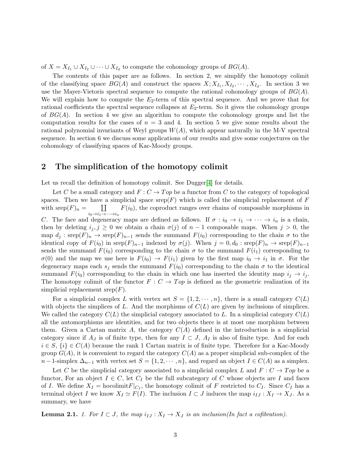of  $X = X_{I_1} \cup X_{I_2} \cup \cdots \cup X_{I_d}$  to compute the cohomology groups of  $BG(A)$ .

The contents of this paper are as follows. In section 2, we simplify the homotopy colimit of the classifying space  $BG(A)$  and construct the spaces  $X; X_{I_1}, X_{I_2}, \cdots, X_{I_d}$ . In section 3 we use the Mayer-Vietoris spectral sequence to compute the rational cohomology groups of  $BG(A)$ . We will explain how to compute the  $E_2$ -term of this spectral sequence. And we prove that for rational coefficients the spectral sequence collapses at  $E_2$ -term. So it gives the cohomology groups of  $BG(A)$ . In section 4 we give an algorithm to compute the cohomology groups and list the computation results for the cases of  $n = 3$  and 4. In section 5 we give some results about the rational polynomial invariants of Weyl groups  $W(A)$ , which appear naturally in the M-V spectral sequence. In section 6 we discuss some applications of our results and give some conjectures on the cohomology of classifying spaces of Kac-Moody groups.

#### 2 The simplification of the homotopy colimit

Let us recall the definition of homotopy colimit. See Dugger[\[4\]](#page-15-9) for details.

Let C be a small category and  $F: C \to Top$  be a functor from C to the category of topological spaces. Then we have a simplicial space srep(F) which is called the simplicial replacement of F with  $\operatorname{step}(F)_n = \coprod$  $i_0 \rightarrow i_1 \rightarrow \cdots \rightarrow i_n$  $F(i_0)$ , the coproduct ranges over chains of composable morphisms in C. The face and degeneracy maps are defined as follows. If  $\sigma : i_0 \to i_1 \to \cdots \to i_n$  is a chain, then by deleting  $i_j$ ,  $j \geq 0$  we obtain a chain  $\sigma(j)$  of  $n-1$  composable maps. When  $j > 0$ , the map  $d_j$ : srep $(F)_n \to \text{step}(F)_{n-1}$  sends the summand  $F(i_0)$  corresponding to the chain  $\sigma$  to the identical copy of  $F(i_0)$  in  $\text{step}(F)_{n-1}$  indexed by  $\sigma(j)$ . When  $j = 0, d_0 : \text{step}(F)_n \to \text{step}(F)_{n-1}$ sends the summand  $F(i_0)$  corresponding to the chain  $\sigma$  to the summand  $F(i_1)$  corresponding to  $\sigma(0)$  and the map we use here is  $F(i_0) \to F(i_1)$  given by the first map  $i_0 \to i_1$  in  $\sigma$ . For the degeneracy maps each  $s_j$  sends the summand  $F(i_0)$  corresponding to the chain  $\sigma$  to the identical summand  $F(i_0)$  corresponding to the chain in which one has inserted the identity map  $i_j \rightarrow i_j$ . The homotopy colimit of the functor  $F : C \to Top$  is defined as the geometric realization of its simplicial replacement  $\operatorname{sep}(F)$ .

For a simplicial complex L with vertex set  $S = \{1, 2, \dots, n\}$ , there is a small category  $C(L)$ with objects the simplices of L. And the morphisms of  $C(L)$  are given by inclusions of simplices. We called the category  $C(L)$  the simplicial category associated to L. In a simplicial category  $C(L)$ all the automorphisms are identities, and for two objects there is at most one morphism between them. Given a Cartan matrix A, the category  $C(A)$  defined in the introduction is a simplicial category since if  $A_J$  is of finite type, then for any  $I \subset J$ ,  $A_I$  is also of finite type. And for each  $i \in S$ ,  $\{i\} \in C(A)$  because the rank 1 Cartan matrix is of finite type. Therefore for a Kac-Moody group  $G(A)$ , it is convenient to regard the category  $C(A)$  as a proper simplicial sub-complex of the  $n-1$ -simplex  $\Delta_{n-1}$  with vertex set  $S = \{1, 2, \cdots, n\}$ , and regard an object  $I \in C(A)$  as a simplex.

Let C be the simplicial category associated to a simplicial complex L and  $F: C \to Top$  be a functor, For an object  $I \in C$ , let  $C_I$  be the full subcategory of C whose objects are I and faces of I. We define  $X_I = \text{hocolimit } F|_{C_I}$ , the homotopy colimit of F restricted to  $C_I$ . Since  $C_I$  has a terminal object I we know  $X_I \simeq F(I)$ . The inclusion  $I \subset J$  induces the map  $i_{IJ} : X_I \to X_J$ . As a summary, we have

**Lemma 2.1.** 1. For  $I \subset J$ , the map  $i_{IJ}: X_I \to X_J$  is an inclusion(In fact a cofibration).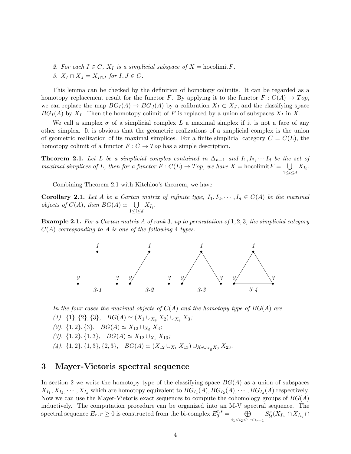- 2. For each  $I \in C$ ,  $X_I$  is a simplicial subspace of  $X = \text{hocolimit } F$ .
- 3.  $X_I \cap X_J = X_{I \cap J}$  for  $I, J \in C$ .

This lemma can be checked by the definition of homotopy colimits. It can be regarded as a homotopy replacement result for the functor F. By applying it to the functor  $F : C(A) \to Top$ , we can replace the map  $BG_I(A) \to BG_J(A)$  by a cofibration  $X_I \subset X_J$ , and the classifying space  $BG_I(A)$  by  $X_I$ . Then the homotopy colimit of F is replaced by a union of subspaces  $X_I$  in X.

We call a simplex  $\sigma$  of a simplicial complex L a maximal simplex if it is not a face of any other simplex. It is obvious that the geometric realizations of a simplicial complex is the union of geometric realization of its maximal simplices. For a finite simplicial category  $C = C(L)$ , the homotopy colimit of a functor  $F: C \to Top$  has a simple description.

**Theorem 2.1.** Let L be a simplicial complex contained in  $\Delta_{n-1}$  and  $I_1, I_2, \cdots I_d$  be the set of maximal simplices of L, then for a functor  $F: C(L) \to Top$ , we have  $X = \text{hocolimit } F = \bigcup$  $\bigcup_{1\leq i\leq d}X_{I_i}.$ 

Combining Theorem 2.1 with Kitchloo's theorem, we have

**Corollary 2.1.** Let A be a Cartan matrix of infinite type,  $I_1, I_2, \dots, I_d \in C(A)$  be the maximal *objects of*  $C(A)$ , then  $BG(A) \simeq \bigcup$  $\bigcup_{1\leq i\leq d}X_{I_i}.$ 

**Example 2.1.** For a Cartan matrix A of rank 3, up to permutation of  $1, 2, 3$ , the simplicial category  $C(A)$  corresponding to A is one of the following 4 types.



In the four cases the maximal objects of  $C(A)$  and the homotopy type of  $BG(A)$  are

- (1).  $\{1\}, \{2\}, \{3\}, B\mathbb{G}(A) \simeq (X_1 \cup_{X_{\emptyset}} X_2) \cup_{X_{\emptyset}} X_3;$
- (2).  $\{1, 2\}, \{3\}, BG(A) \simeq X_{12} \cup_{X_{\emptyset}} X_3;$

(3).  $\{1, 2\}, \{1, 3\}, BG(A) \simeq X_{12} \cup_{X_1} X_{13};$ 

(4).  $\{1, 2\}, \{1, 3\}, \{2, 3\}, B\mathcal{G}(A) \simeq (X_{12} \cup_{X_1} X_{13}) \cup_{X_2 \cup_{X_\emptyset} X_3} X_{23}.$ 

#### 3 Mayer-Vietoris spectral sequence

In section 2 we write the homotopy type of the classifying space  $BG(A)$  as a union of subspaces  $X_{I_1}, X_{I_2}, \cdots, X_{I_d}$  which are homotopy equivalent to  $BG_{I_1}(A), BG_{I_2}(A), \cdots, BG_{I_d}(A)$  respectively. Now we can use the Mayer-Vietoris exact sequences to compute the cohomology groups of  $BG(A)$ inductively. The computation procedure can be organized into an M-V spectral sequence. The spectral sequence  $E_r, r \geq 0$  is constructed from the bi-complex  $E_0^{r,s} = \bigoplus$  $i_1 < i_2 < \cdots < i_{r+1}$  $S^s_{\mathcal{U}}(X_{I_{i_1}} \cap X_{I_{i_2}} \cap$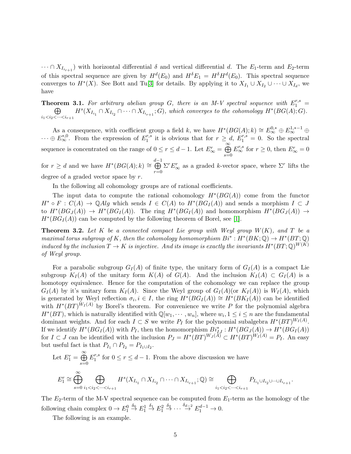$\cdots \cap X_{I_{i_{r+1}}}$  with horizontal differential  $\delta$  and vertical differential d. The  $E_1$ -term and  $E_2$ -term of this spectral sequence are given by  $H^d(E_0)$  and  $H^{\delta}E_1 = H^{\delta}H^d(E_0)$ . This spectral sequence converges to  $H^*(X)$ . See Bott and Tu[\[3\]](#page-15-10) for details. By applying it to  $X_{I_1} \cup X_{I_2} \cup \cdots \cup X_{I_d}$ , we have

**Theorem 3.1.** For arbitrary abelian group G, there is an M-V spectral sequence with  $E_1^{r,s}$  =  $\oplus$  $i_1 < i_2 < \cdots < i_{r+1}$  $H<sup>s</sup>(X_{I_{i_1}} \cap X_{I_{i_2}} \cap \cdots \cap X_{I_{i_{r+1}}}; G)$ , which converges to the cohomology  $H<sup>*</sup>(BG(A); G)$ .

As a consequence, with coefficient group a field k, we have  $H^*(BG(A); k) \cong E^{0,*}_{\infty} \oplus E^{1,*-1}_{\infty} \oplus$  $\cdots \oplus E_{\infty}^{*,0}$ . From the expression of  $E_1^{r,s}$  $t_1^{r,s}$  it is obvious that for  $r \ge d$ ,  $E_1^{r,s} = 0$ . So the spectral sequence is concentrated on the range of  $0 \le r \le d-1$ . Let  $E_{\infty}^r = \bigoplus_{r=1}^{\infty} E_r$  $s=0$  $E_{\infty}^{r,s}$  for  $r \geq 0$ , then  $E_{\infty}^r = 0$ for  $r \geq d$  and we have  $H^*(BG(A); k) \cong \bigoplus^{d-1}$  $r=0$  $\Sigma^r E^r_\infty$  as a graded *k*-vector space, where  $\Sigma^r$  lifts the degree of a graded vector space by  $r$ .

In the following all cohomology groups are of rational coefficients.

The input data to compute the rational cohomology  $H^*(BG(A))$  come from the functor  $H^* \circ F : C(A) \to \mathbb{Q}Alg$  which sends  $I \in C(A)$  to  $H^*(BG_I(A))$  and sends a morphism  $I \subset J$ to  $H^*(BG_J(A)) \to H^*(BG_I(A))$ . The ring  $H^*(BG_I(A))$  and homomorphism  $H^*(BG_J(A)) \to$  $H^*(BG_I(A))$  can be computed by the following theorem of Borel, see [\[1\]](#page-14-0).

**Theorem 3.2.** Let K be a connected compact Lie group with Weyl group  $W(K)$ , and T be a maximal torus subgroup of K, then the cohomology homomorphism  $Bi^*: H^*(BK; \mathbb{Q}) \to H^*(BT; \mathbb{Q})$ induced by the inclusion  $T \to K$  is injective. And its image is exactly the invariants  $H^*(BT;\mathbb{Q})^{W(K)}$ of Weyl group.

For a parabolic subgroup  $G_I(A)$  of finite type, the unitary form of  $G_I(A)$  is a compact Lie subgroup  $K_I(A)$  of the unitary form  $K(A)$  of  $G(A)$ . And the inclusion  $K_I(A) \subset G_I(A)$  is a homotopy equivalence. Hence for the computation of the cohomology we can replace the group  $G_I(A)$  by it's unitary form  $K_I(A)$ . Since the Weyl group of  $G_I(A)(or K_I(A))$  is  $W_I(A)$ , which is generated by Weyl reflection  $\sigma_i, i \in I$ , the ring  $H^*(BG_I(A)) \cong H^*(BK_I(A))$  can be identified with  $H^*(BT)^{W_I(A)}$  by Borel's theorem. For convenience we write P for the polynomial algebra  $H^*(BT)$ , which is naturally identified with  $\mathbb{Q}[w_1, \dots, w_n]$ , where  $w_i, 1 \leq i \leq n$  are the fundamental dominant weights. And for each  $I \subset S$  we write  $P_I$  for the polynomial subalgebra  $H^*(BT)^{W_I(A)}$ . If we identify  $H^*(BG_I(A))$  with  $P_I$ , then the homomorphism  $Bi_{IJ}^*: H^*(BG_J(A)) \to H^*(BG_I(A))$ for  $I \subset J$  can be identified with the inclusion  $P_J = H^*(BT)^{W_J(A)} \subset H^*(BT)^{W_I(A)} = P_I$ . An easy but useful fact is that  $P_{I_1} \cap P_{I_2} = P_{I_1 \cup I_2}$ .

Let 
$$
E_1^r = \bigoplus_{s=0}^{\infty} E_1^{r,s}
$$
 for  $0 \le r \le d-1$ . From the above discussion we have  
\n
$$
E_1^r \cong \bigoplus_{s=0}^{\infty} \bigoplus_{i_1 < i_2 < \dots < i_{r+1}} H^s(X_{I_{i_1}} \cap X_{I_{i_2}} \cap \dots \cap X_{I_{i_{r+1}}}; \mathbb{Q}) \cong \bigoplus_{i_1 < i_2 < \dots < i_{r+1}} P_{I_{i_1} \cup I_{i_2} \cup \dots \cup I_{i_{r+1}}}.
$$

The  $E_2$ -term of the M-V spectral sequence can be computed from  $E_1$ -term as the homology of the following chain complex  $0 \to E_1^0 \stackrel{\delta_0}{\to} E_1^1 \stackrel{\delta_1}{\to} E_1^2 \stackrel{\delta_2}{\to} \cdots \stackrel{\delta_{d-2}}{\to} E_1^{d-1} \to 0.$ 

The following is an example.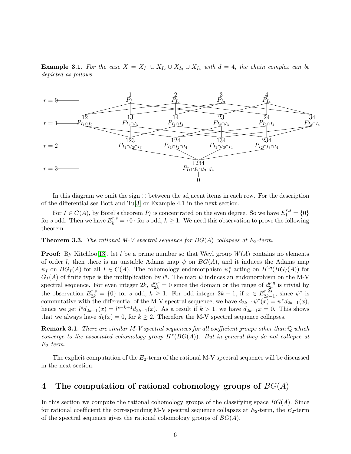**Example 3.1.** For the case  $X = X_{I_1} \cup X_{I_2} \cup X_{I_3} \cup X_{I_4}$  with  $d = 4$ , the chain complex can be depicted as follows.



In this diagram we omit the sign  $oplus$  between the adjacent items in each row. For the description of the differential see Bott and Tu[\[3\]](#page-15-10) or Example 4.1 in the next section.

For  $I \in C(A)$ , by Borel's theorem  $P_I$  is concentrated on the even degree. So we have  $E_1^{r,s} = \{0\}$ for s odd. Then we have  $E_k^{r,s} = \{0\}$  for s odd,  $k \geq 1$ . We need this observation to prove the following theorem.

**Theorem 3.3.** The rational M-V spectral sequence for  $BG(A)$  collapses at  $E_2$ -term.

**Proof:** By Kitchloo<sup>[\[13\]](#page-15-7)</sup>, let l be a prime number so that Weyl group  $W(A)$  contains no elements of order l, then there is an unstable Adams map  $\psi$  on  $BG(A)$ , and it induces the Adams map  $\psi_I$  on  $BG_I(A)$  for all  $I \in C(A)$ . The cohomology endomorphism  $\psi_I^*$  acting on  $H^{2q}(BG_I(A))$  for  $G_I(A)$  of finite type is the multiplication by  $l^q$ . The map  $\psi$  induces an endomorphism on the M-V spectral sequence. For even integer 2k,  $d_{2k}^{r,s} = 0$  since the domain or the range of  $d_{2r}^{p,q}$  $_{2r}^{p,q}$  is trivial by the observation  $E_{2k}^{r,s} = \{0\}$  for s odd,  $k \geq 1$ . For odd integer  $2k - 1$ , if  $x \in E_{2k-1}^{r,2s}$  $\frac{r,2s}{2k-1}$ , since  $\psi^*$  is commutative with the differential of the M-V spectral sequence, we have  $d_{2k-1}\psi^*(x) = \psi^* d_{2k-1}(x)$ , hence we get  $l^{s}d_{2k-1}(x) = l^{s-k+1}d_{2k-1}(x)$ . As a result if  $k > 1$ , we have  $d_{2k-1}(x) = 0$ . This shows that we always have  $d_k(x) = 0$ , for  $k \geq 2$ . Therefore the M-V spectral sequence collapses.

**Remark 3.1.** There are similar M-V spectral sequences for all coefficient groups other than  $\mathbb Q$  which converge to the associated cohomology group  $H^*(BG(A))$ . But in general they do not collapse at  $E_2$ -term.

The explicit computation of the  $E_2$ -term of the rational M-V spectral sequence will be discussed in the next section.

## 4 The computation of rational cohomology groups of  $BG(A)$

In this section we compute the rational cohomology groups of the classifying space  $BG(A)$ . Since for rational coefficient the corresponding M-V spectral sequence collapses at  $E_2$ -term, the  $E_2$ -term of the spectral sequence gives the rational cohomology groups of  $BG(A)$ .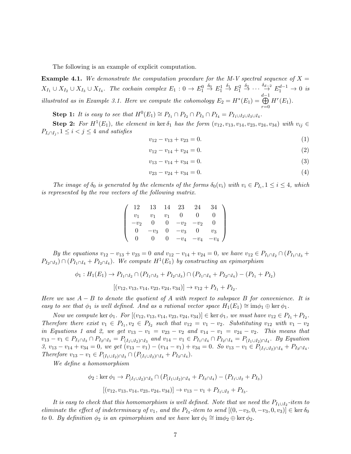The following is an example of explicit computation.

**Example 4.1.** We demonstrate the computation procedure for the M-V spectral sequence of  $X =$  $X_{I_1} \cup X_{I_2} \cup X_{I_3} \cup X_{I_4}$ . The cochain complex  $E_1: 0 \to E_1^0 \stackrel{\delta_0}{\to} E_1^1 \stackrel{\delta_1}{\to} E_1^2 \stackrel{\delta_2}{\to} \cdots \stackrel{\delta_{d-2}}{\to} E_1^{d-1} \to 0$  is illustrated as in Example 3.1. Here we compute the cohomology  $E_2 = H^*(E_1) =$ d−1<br>⊕  $r=0$  $H^r(E_1)$ .

Step 1: It is easy to see that  $H^0(E_1) \cong P_{I_1} \cap P_{I_2} \cap P_{I_3} \cap P_{I_4} = P_{I_1 \cup I_2 \cup I_3 \cup I_4}$ .

**Step 2:** For  $H^1(E_1)$ , the element in ker  $\delta_1$  has the form  $(v_{12}, v_{13}, v_{14}, v_{23}, v_{24}, v_{34})$  with  $v_{ij} \in$  $P_{I_i \cap I_j}$ ,  $1 \leq i < j \leq 4$  and satisfies

$$
v_{12} - v_{13} + v_{23} = 0. \tag{1}
$$

$$
v_{12} - v_{14} + v_{24} = 0. \t\t(2)
$$

$$
v_{13} - v_{14} + v_{34} = 0. \tag{3}
$$

$$
v_{23} - v_{24} + v_{34} = 0.\t\t(4)
$$

The image of  $\delta_0$  is generated by the elements of the forms  $\delta_0(v_i)$  with  $v_i \in P_{I_i}$ ,  $1 \leq i \leq 4$ , which is represented by the row vectors of the following matrix.

|       | 13             | 14 | 23     | 24     |           |  |
|-------|----------------|----|--------|--------|-----------|--|
| $v_1$ | v <sub>1</sub> |    |        |        |           |  |
| $v_2$ |                |    | $-v_2$ | $-v_2$ |           |  |
|       | $-v_3$         |    | $-v_3$ |        | $\!\!v_3$ |  |
|       |                |    | $-v_4$ | $-v_4$ |           |  |

By the equations  $v_{12} - v_{13} + v_{23} = 0$  and  $v_{12} - v_{14} + v_{24} = 0$ , we have  $v_{12} \in P_{I_1 \cap I_2} \cap (P_{I_1 \cap I_3} + P_{I_1 \cap I_2})$  $P_{I_2 \cap I_3}$ )  $\cap (P_{I_1 \cap I_4} + P_{I_2 \cap I_4})$ . We compute  $H^1(E_1)$  by constructing an epimorphism

$$
\phi_1: H_1(E_1) \to P_{I_1 \cap I_2} \cap (P_{I_1 \cap I_3} + P_{I_2 \cap I_3}) \cap (P_{I_1 \cap I_4} + P_{I_2 \cap I_4}) - (P_{I_1} + P_{I_2})
$$

$$
[(v_{12}, v_{13}, v_{14}, v_{23}, v_{24}, v_{34})] \to v_{12} + P_{I_1} + P_{I_2}.
$$

Here we use  $A - B$  to denote the quotient of A with respect to subspace B for convenience. It is easy to see that  $\phi_1$  is well defined. And as a rational vector space  $H_1(E_1) \cong \text{im}\phi_1 \oplus \text{ker}\phi_1$ .

Now we compute ker  $\phi_1$ . For  $[(v_{12}, v_{13}, v_{14}, v_{23}, v_{24}, v_{34})] \in \text{ker } \phi_1$ , we must have  $v_{12} \in P_{I_1} + P_{I_2}$ . Therefore there exist  $v_1 \in P_{I_1}, v_2 \in P_{I_2}$  such that  $v_{12} = v_1 - v_2$ . Substituting  $v_{12}$  with  $v_1 - v_2$ in Equations 1 and 2, we get  $v_{13} - v_1 = v_{23} - v_2$  and  $v_{14} - v_1 = v_{24} - v_2$ . This means that  $v_{13} - v_1 \in P_{I_1 \cap I_3} \cap P_{I_2 \cap I_3} = P_{(I_1 \cup I_2) \cap I_3}$  and  $v_{14} - v_1 \in P_{I_1 \cap I_4} \cap P_{I_2 \cap I_4} = P_{(I_1 \cup I_2) \cap I_4}$ . By Equation 3,  $v_{13} - v_{14} + v_{34} = 0$ , we get  $(v_{13} - v_1) - (v_{14} - v_1) + v_{34} = 0$ . So  $v_{13} - v_1 \in P_{(I_1 \cup I_2) \cap I_4} + P_{I_3 \cap I_4}$ . Therefore  $v_{13} - v_1 \in P_{(I_1 \cup I_2) \cap I_3} \cap (P_{(I_1 \cup I_2) \cap I_4} + P_{I_3 \cap I_4}).$ 

We define a homomorphism

$$
\phi_2: \ker \phi_1 \to P_{(I_1 \cup I_2) \cap I_3} \cap (P_{(I_1 \cup I_2) \cap I_4} + P_{I_3 \cap I_4}) - (P_{I_1 \cup I_2} + P_{I_3})
$$

$$
[(v_{12}, v_{13}, v_{14}, v_{23}, v_{24}, v_{34})] \to v_{13} - v_1 + P_{I_1 \cup I_2} + P_{I_3}.
$$

It is easy to check that this homomorphism is well defined. Note that we need the  $P_{I_1 \cup I_2}$ -item to eliminate the effect of indeterminacy of  $v_1$ , and the  $P_{I_3}$ -item to send  $[(0, -v_3, 0, -v_3, 0, v_3)] \in \text{ker } \delta_0$ to 0. By definition  $\phi_2$  is an epimorphism and we have ker  $\phi_1 \cong \text{im} \phi_2 \oplus \text{ker } \phi_2$ .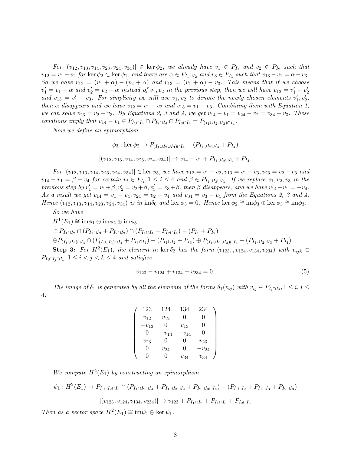For  $[(v_{12}, v_{13}, v_{14}, v_{23}, v_{24}, v_{34})] \in \text{ker } \phi_2$ , we already have  $v_1 \in P_{I_1}$  and  $v_2 \in P_{I_2}$  such that  $v_{12} = v_1 - v_2$  for ker  $\phi_2 \subset \text{ker } \phi_1$ , and there are  $\alpha \in P_{I_1 \cup I_2}$  and  $v_3 \in P_{I_3}$  such that  $v_{13} - v_1 = \alpha - v_3$ . So we have  $v_{12} = (v_1 + \alpha) - (v_2 + \alpha)$  and  $v_{13} = (v_1 + \alpha) - v_3$ . This means that if we choose  $v'_1 = v_1 + \alpha$  and  $v'_2 = v_2 + \alpha$  instead of  $v_1, v_2$  in the previous step, then we will have  $v_{12} = v'_1 - v'_2$ and  $v_{13} = v'_1 - v_3$ . For simplicity we still use  $v_1, v_2$  to denote the newly chosen elements  $v'_1, v'_2$ , then  $\alpha$  disappears and we have  $v_{12} = v_1 - v_2$  and  $v_{13} = v_1 - v_3$ . Combining them with Equation 1, we can solve  $v_{23} = v_2 - v_3$ . By Equations 2, 3 and 4, we get  $v_{14} - v_1 = v_{24} - v_2 = v_{34} - v_3$ . These equations imply that  $v_{14} - v_1 \in P_{I_1 \cap I_4} \cap P_{I_2 \cap I_4} \cap P_{I_3 \cap I_4} = P_{(I_1 \cup I_2 \cup I_3) \cap I_4}$ .

Now we define an epimorphism

$$
\phi_3: \ker \phi_2 \to P_{(I_1 \cup I_2 \cup I_3) \cap I_4} - (P_{I_1 \cup I_2 \cup I_3} + P_{I_4})
$$

$$
[(v_{12}, v_{13}, v_{14}, v_{23}, v_{24}, v_{34})] \to v_{14} - v_1 + P_{I_1 \cup I_2 \cup I_3} + P_{I_4}.
$$

 $For \left[ (v_{12}, v_{13}, v_{14}, v_{23}, v_{24}, v_{34}) \right] \in \text{ker } \phi_3$ , we have  $v_{12} = v_1 - v_2, v_{13} = v_1 - v_3, v_{23} = v_2 - v_3$  and  $v_{14}-v_1=\beta-v_4$  for certain  $v_i\in P_{I_i}, 1\leq i\leq 4$  and  $\beta\in P_{I_1\cup I_2\cup I_3}$ . If we replace  $v_1,v_2,v_3$  in the previous step by  $v'_1 = v_1 + \beta$ ,  $v'_2 = v_2 + \beta$ ,  $v'_3 = v_3 + \beta$ , then  $\beta$  disappears, and we have  $v_{14} - v_1 = -v_4$ . As a result we get  $v_{14} = v_1 - v_4$ ,  $v_{24} = v_2 - v_4$  and  $v_{34} = v_3 - v_4$  from the Equations 2, 3 and 4. Hence  $(v_{12}, v_{13}, v_{14}, v_{23}, v_{24}, v_{34})$  is in  $\text{im}\delta_0$  and ker  $\phi_3 = 0$ . Hence ker  $\phi_2 \cong \text{im}\phi_3 \oplus \text{ker}\phi_3 \cong \text{im}\phi_3$ .

So we have

 $H^1(E_1) \cong \mathrm{im} \phi_1 \oplus \mathrm{im} \phi_2 \oplus \mathrm{im} \phi_3$  $\cong P_{I_1 \cap I_2} \cap (P_{I_1 \cap I_3} + P_{I_2 \cap I_3}) \cap (P_{I_1 \cap I_4} + P_{I_2 \cap I_4}) - (P_{I_1} + P_{I_2})$  $\oplus P_{(I_1\cup I_2)\cap I_3} \cap (P_{(I_1\cup I_2)\cap I_4} + P_{I_3\cap I_4}) - (P_{I_1\cup I_2} + P_{I_3}) \oplus P_{(I_1\cup I_2\cup I_3)\cap I_4} - (P_{I_1\cup I_2\cup I_3} + P_{I_4})$ **Step 3:** For  $H^2(E_1)$ , the element in ker  $\delta_2$  has the form  $(v_{123}, v_{124}, v_{134}, v_{234})$  with  $v_{ijk} \in$ 

 $P_{I_i \cap I_j \cap I_k}$ ,  $1 \leq i < j < k \leq 4$  and satisfies

$$
v_{123} - v_{124} + v_{134} - v_{234} = 0. \tag{5}
$$

The image of  $\delta_1$  is generated by all the elements of the forms  $\delta_1(v_{ij})$  with  $v_{ij} \in P_{I_i \cap I_j}$ ,  $1 \le i, j \le j$ 4.

| 123       | 124       | 134       | 234       |  |
|-----------|-----------|-----------|-----------|--|
| $v_{12}$  | $v_{12}$  | 0         | 0         |  |
| $-v_{13}$ | O         | $v_{13}$  | 0         |  |
| 0         | $-v_{14}$ | $-v_{14}$ | 0         |  |
| $v_{23}$  | O         | 0         | $v_{23}$  |  |
| $\Omega$  | $v_{24}$  | 0         | $-v_{24}$ |  |
| 0         | ∩         | $v_{34}$  | $v_{34}$  |  |

We compute  $H^2(E_1)$  by constructing an epimorphism

$$
\psi_1: H^2(E_1) \to P_{I_1 \cap I_2 \cap I_3} \cap (P_{I_1 \cap I_2 \cap I_4} + P_{I_1 \cap I_3 \cap I_4} + P_{I_2 \cap I_3 \cap I_4}) - (P_{I_1 \cap I_2} + P_{I_1 \cap I_3} + P_{I_2 \cap I_3})
$$

$$
[(v_{123}, v_{124}, v_{134}, v_{234})] \to v_{123} + P_{I_1 \cap I_2} + P_{I_1 \cap I_3} + P_{I_2 \cap I_3}
$$

Then as a vector space  $H^2(E_1) \cong \text{im}\psi_1 \oplus \text{ker }\psi_1$ .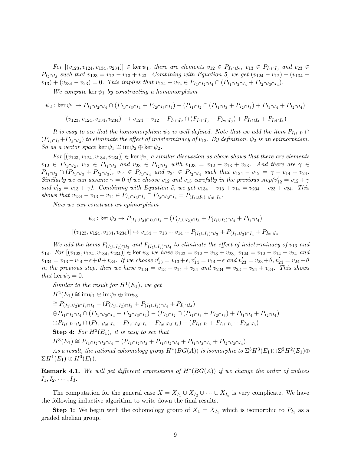For  $[(v_{123}, v_{124}, v_{134}, v_{234})] \in \text{ker } \psi_1$ , there are elements  $v_{12} \in P_{I_1 \cap I_2}$ ,  $v_{13} \in P_{I_1 \cap I_3}$  and  $v_{23} \in$  $P_{I_2 \cap I_3}$  such that  $v_{123} = v_{12} - v_{13} + v_{23}$ . Combining with Equation 5, we get  $(v_{124} - v_{12}) - (v_{134} - v_{13})$  $v_{13}$ ) +  $(v_{234} - v_{23}) = 0$ . This implies that  $v_{124} - v_{12} \in P_{I_1 \cap I_2 \cap I_4} \cap (P_{I_1 \cap I_3 \cap I_4} + P_{I_2 \cap I_3 \cap I_4})$ .

We compute ker  $\psi_1$  by constructing a homomorphism

$$
\psi_2: \ker \psi_1 \to P_{I_1 \cap I_2 \cap I_4} \cap (P_{I_1 \cap I_3 \cap I_4} + P_{I_2 \cap I_3 \cap I_4}) - (P_{I_1 \cap I_2} \cap (P_{I_1 \cap I_3} + P_{I_2 \cap I_3}) + P_{I_1 \cap I_4} + P_{I_2 \cap I_4})
$$

$$
[(v_{123}, v_{124}, v_{134}, v_{234})] \to v_{124} - v_{12} + P_{I_1 \cap I_2} \cap (P_{I_1 \cap I_3} + P_{I_2 \cap I_3}) + P_{I_1 \cap I_4} + P_{I_2 \cap I_4})
$$

It is easy to see that the homomorphism  $\psi_2$  is well defined. Note that we add the item  $P_{I_1 \cap I_2} \cap$  $(P_{I_1 \cap I_3}+P_{I_2 \cap I_3})$  to eliminate the effect of indeterminacy of  $v_{12}$ . By definition,  $\psi_2$  is an epimorphism. So as a vector space ker  $\psi_1 \cong \mathrm{im}\psi_2 \oplus \ker \psi_2$ .

For  $[(v_{123}, v_{124}, v_{134}, v_{234})] \in \text{ker } \psi_2$ , a similar discussion as above shows that there are elements  $v_{12} \in P_{I_1 \cap I_2}, v_{13} \in P_{I_1 \cap I_3}$  and  $v_{23} \in P_{I_2 \cap I_3}$  with  $v_{123} = v_{12} - v_{13} + v_{23}$ . And there are  $\gamma \in$  $P_{I_1 \cap I_2} \cap (P_{I_1 \cap I_3} + P_{I_2 \cap I_3}), v_{14} \in P_{I_1 \cap I_4}$  and  $v_{24} \in P_{I_2 \cap I_4}$  such that  $v_{124} - v_{12} = \gamma - v_{14} + v_{24}$ . Similarly we can assume  $\gamma = 0$  if we choose  $v_{12}$  and  $v_{13}$  carefully in the previous step( $v'_{12} = v_{12} + \gamma$ and  $v'_{13} = v_{13} + \gamma$ ). Combining with Equation 5, we get  $v_{134} - v_{13} + v_{14} = v_{234} - v_{23} + v_{24}$ . This shows that  $v_{134} - v_{13} + v_{14} \in P_{I_1 \cap I_3 \cap I_4} \cap P_{I_2 \cap I_3 \cap I_4} = P_{(I_1 \cup I_2) \cap I_3 \cap I_4}$ .

Now we can construct an epimorphism

$$
\psi_3: \ker \psi_2 \to P_{(I_1 \cup I_2) \cap I_3 \cap I_4} - (P_{(I_1 \cup I_2) \cap I_3} + P_{(I_1 \cup I_2) \cap I_4} + P_{I_3 \cap I_4})
$$
  

$$
[(v_{123}, v_{124}, v_{134}, v_{234})] \mapsto v_{134} - v_{13} + v_{14} + P_{(I_1 \cup I_2) \cap I_3} + P_{(I_1 \cup I_2) \cap I_4} + P_{I_3 \cap I_4}
$$

We add the items  $P_{(I_1 \cup I_2) \cap I_3}$  and  $P_{(I_1 \cup I_2) \cap I_4}$  to eliminate the effect of indeterminacy of  $v_{13}$  and  $v_{14}$ . For  $[(v_{123}, v_{124}, v_{134}, v_{234})] \in \text{ker } \psi_3$  we have  $v_{123} = v_{12} - v_{13} + v_{23}$ ,  $v_{124} = v_{12} - v_{14} + v_{24}$  and  $v_{134} = v_{13} - v_{14} + \epsilon + \theta + v_{34}$ . If we choose  $v'_{13} = v_{13} + \epsilon$ ,  $v'_{14} = v_{14} + \epsilon$  and  $v'_{23} = v_{23} + \theta$ ,  $v'_{24} = v_{24} + \theta$ in the previous step, then we have  $v_{134} = v_{13} - v_{14} + v_{34}$  and  $v_{234} = v_{23} - v_{24} + v_{34}$ . This shows that ker  $\psi_3 = 0$ .

Similar to the result for  $H^1(E_1)$ , we get

$$
H^{2}(E_{1}) \cong im\psi_{1} \oplus im\psi_{2} \oplus im\psi_{3}
$$
  
\n
$$
\cong P_{(I_{1}\cup I_{2})\cap I_{3}\cap I_{4}} - (P_{(I_{1}\cup I_{2})\cap I_{3}} + P_{(I_{1}\cup I_{2})\cap I_{4}} + P_{I_{3}\cap I_{4}})
$$
  
\n
$$
\oplus P_{I_{1}\cap I_{2}\cap I_{4}} \cap (P_{I_{1}\cap I_{3}\cap I_{4}} + P_{I_{2}\cap I_{3}\cap I_{4}}) - (P_{I_{1}\cap I_{2}} \cap (P_{I_{1}\cap I_{3}} + P_{I_{2}\cap I_{3}}) + P_{I_{1}\cap I_{4}} + P_{I_{2}\cap I_{4}})
$$
  
\n
$$
\oplus P_{I_{1}\cap I_{2}\cap I_{3}} \cap (P_{I_{1}\cap I_{2}\cap I_{4}} + P_{I_{1}\cap I_{3}\cap I_{4}} + P_{I_{2}\cap I_{3}\cap I_{4}}) - (P_{I_{1}\cap I_{2}} + P_{I_{1}\cap I_{3}} + P_{I_{2}\cap I_{3}})
$$

**Step 4:** For  $H^3(E_1)$ , it is easy to see that

 $H^3(E_1) \cong P_{I_1 \cap I_2 \cap I_3 \cap I_4} - (P_{I_1 \cap I_2 \cap I_3} + P_{I_1 \cap I_2 \cap I_4} + P_{I_1 \cap I_3 \cap I_4} + P_{I_2 \cap I_3 \cap I_4}.$ 

As a result, the rational cohomology group  $H^*(BG(A))$  is isomorphic to  $\Sigma^3 H^3(E_1) \oplus \Sigma^2 H^2(E_1) \oplus$  $\Sigma H^1(E_1) \oplus H^0(E_1)$ .

)

**Remark 4.1.** We will get different expressions of  $H^*(BG(A))$  if we change the order of indices  $I_1, I_2, \cdots, I_d$ .

The computation for the general case  $X = X_{I_1} \cup X_{I_2} \cup \cdots \cup X_{I_d}$  is very complicate. We have the following inductive algorithm to write down the final results.

**Step 1:** We begin with the cohomology group of  $X_1 = X_{I_1}$  which is isomorphic to  $P_{I_1}$  as a graded abelian group.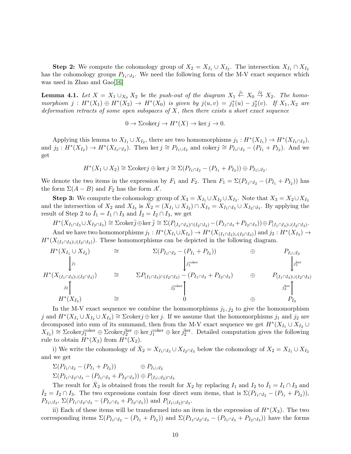**Step 2:** We compute the cohomology group of  $X_2 = X_{I_1} \cup X_{I_2}$ . The intersection  $X_{I_1} \cap X_{I_2}$ has the cohomology groups  $P_{I_1 \cap I_2}$ . We need the following form of the M-V exact sequence which was used in Zhao and Gao[\[16\]](#page-15-11)

**Lemma 4.1.** Let  $X = X_1 \cup_{X_0} X_2$  be the push-out of the diagram  $X_1 \stackrel{j_1}{\leftarrow} X_0 \stackrel{j_2}{\rightarrow} X_2$ . The homomorphism  $j: H^*(X_1) \oplus H^*(X_2) \to H^*(X_0)$  is given by  $j(u, v) = j_1^*(u) - j_2^*(v)$ . If  $X_1, X_2$  are deformation retracts of some open subspaces of  $X$ , then there exists a short exact sequence

$$
0 \to \Sigma \text{coker} j \to H^*(X) \to \ker j \to 0.
$$

Applying this lemma to  $X_{I_1} \cup X_{I_2}$ , there are two homomorphisms  $j_1 : H^*(X_{I_1}) \to H^*(X_{I_1 \cap I_2})$ , and  $j_2: H^*(X_{I_2}) \to H^*(X_{I_1 \cap I_2})$ . Then ker  $j \cong P_{I_1 \cup I_2}$  and coker $j \cong P_{I_1 \cap I_2} - (P_{I_1} + P_{I_2})$ . And we get

$$
H^*(X_1 \cup X_2) \cong \Sigma \text{coker} j \oplus \ker j \cong \Sigma(P_{I_1 \cap I_2} - (P_{I_1} + P_{I_2})) \oplus P_{I_1 \cup I_2}.
$$

We denote the two items in the expression by  $F_1$  and  $F_2$ . Then  $F_1 = \Sigma (P_{I_1 \cap I_2} - (P_{I_1} + P_{I_2}))$  has the form  $\Sigma(A - B)$  and  $F_2$  has the form  $A'$ .

**Step 3:** We compute the cohomology group of  $X_3 = X_{I_1} \cup X_{I_2} \cup X_{I_3}$ . Note that  $X_3 = X_2 \cup X_{I_3}$ and the intersection of  $X_2$  and  $X_{I_3}$  is  $\bar{X}_2 = (X_{I_1} \cup X_{I_2}) \cap \bar{X}_{I_3} = \bar{X}_{I_1 \cap I_3} \cup X_{I_2 \cap I_3}$ . By applying the result of Step 2 to  $I_1 = I_1 \cap I_3$  and  $I_2 = I_2 \cap I_3$ , we get

$$
H^*(X_{I_1 \cap I_3} \cup X_{I_2 \cap I_3}) \cong \Sigma \text{coker}_{J}^{\overline{j}} \oplus \ker_{J}^{\overline{j}} \cong \Sigma(P_{(I_1 \cap I_3) \cap (I_2 \cap I_3)} - (P_{I_1 \cap I_3} + P_{I_2 \cap I_3})) \oplus P_{(I_1 \cap I_3) \cup (I_2 \cap I_3)}.
$$
  
And we have two homomorphisms  $j_1 : H^*(X_{I_1} \cup X_{I_2}) \to H^*(X_{(I_1 \cap I_3) \cup (I_2 \cap I_3)})$  and  $j_2 : H^*(X_{I_3}) \to$ 

 $H^*(X_{(I_1 \cap I_3) \cup (I_2 \cap I_3)})$ . These homomorphisms can be depicted in the following diagram.

$$
H^*(X_{I_1} \cup X_{I_2}) \cong \sum (P_{I_1 \cap I_2} - (P_{I_1} + P_{I_2})) \oplus P_{I_1 \cup I_2}
$$
  
\n
$$
H^*(X_{(I_1 \cap I_3) \cup (I_2 \cap I_3)}) \cong \sum P_{(I_1 \cap I_3) \cap (I_2 \cap I_3)} - (P_{I_1 \cap I_3} + P_{I_2 \cap I_3}) \oplus P_{(I_1 \cap I_3) \cup (I_2 \cap I_3)}
$$
  
\n
$$
H^*(X_{I_3}) \cong H^*(X_{I_3}) \cong 0 \oplus P_{I_3}
$$

In the M-V exact sequence we combine the homomorphisms  $j_1, j_2$  to give the homomorphism j and  $H^*(X_{I_1} \cup X_{I_2} \cup X_{I_3}) \cong \Sigma$ cokerj ⊕ ker j. If we assume that the homomorphisms j<sub>1</sub> and j<sub>2</sub> are decomposed into sum of its summand, then from the M-V exact sequence we get  $H^*(X_{I_1} \cup X_{I_2} \cup$  $X_{I_3}$ )  $\cong$   $\Sigma$ coker $j_1^{\text{coker}} \oplus \Sigma$ coker $j_2^{\text{ker}} \oplus \ker j_1^{\text{coker}} \oplus \ker j_2^{\text{ker}}$ . Detailed computation gives the following rule to obtain  $H^*(X_3)$  from  $H^*(X_2)$ .

i) We write the cohomology of  $\bar{X}_2 = X_{I_1 \cap I_3} \cup X_{I_2 \cap I_3}$  below the cohomology of  $X_2 = X_{I_1} \cup X_{I_2}$ and we get

$$
\Sigma(P_{I_1 \cap I_2} - (P_{I_1} + P_{I_2})) \oplus P_{I_1 \cup I_2}
$$
  
 
$$
\Sigma(P_{I_1 \cap I_2 \cap I_3} - (P_{I_1 \cap I_3} + P_{I_2 \cap I_3})) \oplus P_{(I_1 \cup I_2) \cap I_3}
$$

The result for  $\bar{X}_2$  is obtained from the result for  $X_2$  by replacing  $I_1$  and  $I_2$  to  $\bar{I}_1 = I_1 \cap I_3$  and  $\overline{I}_2 = I_2 \cap I_3$ . The two expressions contain four direct sum items, that is  $\Sigma (P_{I_1 \cap I_2} - (P_{I_1} + P_{I_2}))$ ,  $P_{I_1\cup I_2}$ ,  $\Sigma(P_{I_1\cap I_2\cap I_3}-(P_{I_1\cap I_3}+P_{I_2\cap I_3})$  and  $P_{(I_1\cup I_2)\cap I_3}$ .

ii) Each of these items will be transformed into an item in the expression of  $H^*(X_3)$ . The two corresponding items  $\Sigma (P_{I_1 \cap I_2} - (P_{I_1} + P_{I_2}))$  and  $\Sigma (P_{I_1 \cap I_2 \cap I_3} - (P_{I_1 \cap I_3} + P_{I_2 \cap I_3}))$  have the forms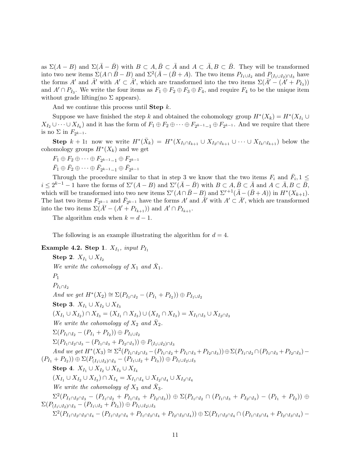as  $\Sigma(A - B)$  and  $\Sigma(\bar{A} - \bar{B})$  with  $B \subset A, \bar{B} \subset \bar{A}$  and  $A \subset \bar{A}, B \subset \bar{B}$ . They will be transformed into two new items  $\Sigma(A \cap \bar{B} - B)$  and  $\Sigma^2(\bar{A} - (\bar{B} + A)$ . The two items  $P_{I_1 \cup I_2}$  and  $P_{(I_1 \cup I_2) \cap I_3}$  have the forms A' and  $\bar{A}'$  with  $A' \subset \bar{A}'$ , which are transformed into the two items  $\Sigma(\bar{A}' - (\bar{A}' + P_{I_3}))$ and  $A' \cap P_{I_3}$ . We write the four items as  $F_1 \oplus F_2 \oplus F_3 \oplus F_4$ , and require  $F_4$  to be the unique item without grade lifting(no  $\Sigma$  appears).

And we continue this process until **Step**  $k$ .

Suppose we have finished the step k and obtained the cohomology group  $H^*(X_k) = H^*(X_{I_1} \cup$  $X_{I_2} \cup \cdots \cup X_{I_k}$  and it has the form of  $F_1 \oplus F_2 \oplus \cdots \oplus F_{2^{k-1}-1} \oplus F_{2^{k-1}}$ . And we require that there is no  $\Sigma$  in  $F_{2^{k-1}}$ .

Step  $k+1$ : now we write  $H^*(\bar{X}_k) = H^*(X_{I_1 \cap I_{k+1}} \cup X_{I_2 \cap I_{k+1}} \cup \cdots \cup X_{I_k \cap I_{k+1}})$  below the cohomology groups  $H^*(X_k)$  and we get

 $F_1 \oplus F_2 \oplus \cdots \oplus F_{2^{k-1}-1} \oplus F_{2^{k-1}}$  $\bar{F}_1 \oplus \bar{F}_2 \oplus \cdots \oplus \bar{F}_{2^{k-1}-1} \oplus \bar{F}_{2^{k-1}}$ 

Through the procedure similar to that in step 3 we know that the two items  $F_i$  and  $\bar{F}_i$ , 1  $\leq$  $i \leq 2^{k-1} - 1$  have the forms of  $\Sigma^r(A-B)$  and  $\Sigma^r(\overline{A}-\overline{B})$  with  $B \subset A, \overline{B} \subset \overline{A}$  and  $A \subset \overline{A}, B \subset \overline{B}$ , which will be transformed into two new items  $\Sigma^r(A \cap \bar{B} - B)$  and  $\Sigma^{r+1}(\bar{A} - (\bar{B} + A))$  in  $H^*(X_{k+1})$ . The last two items  $F_{2^{k-1}}$  and  $\bar{F}_{2^{k-1}}$  have the forms  $A'$  and  $\bar{A}'$  with  $A' \subset \bar{A}'$ , which are transformed into the two items  $\Sigma(\bar{A}' - (A' + P_{I_{k+1}}))$  and  $A' \cap P_{I_{k+1}}$ .

The algorithm ends when  $k = d - 1$ .

The following is an example illustrating the algorithm for  $d = 4$ .

**Example 4.2. Step 1.** 
$$
X_{I_1}
$$
, *input*  $P_{I_1}$   
\n**Step 2.**  $X_{I_1} \cup X_{I_2}$   
\n*We write the cohomology of*  $X_1$  *and*  $\bar{X}_1$ .  
\n $P_1$   
\n $P_{I_1 \cap I_2}$   
\n*And we get*  $H^*(X_2) \cong \Sigma(P_{I_1 \cap I_2} - (P_{I_1} + P_{I_2})) \oplus P_{I_1 \cup I_2}$   
\n**Step 3.**  $X_{I_1} \cup X_{I_2} \cup X_{I_3}$   
\n $(X_{I_1} \cup X_{I_2}) \cap X_{I_3} = (X_{I_1} \cap X_{I_3}) \cup (X_{I_2} \cap X_{I_3}) = X_{I_1 \cap I_3} \cup X_{I_2 \cap I_3}$   
\n*We write the cohomology of*  $X_2$  *and*  $\bar{X}_2$ .  
\n $\Sigma(P_{I_1 \cap I_2} - (P_{I_1} + P_{I_2})) \oplus P_{I_1 \cup I_2}$   
\n $\Sigma(P_{I_1 \cap I_2 \cap I_3} - (P_{I_1 \cap I_3} + P_{I_2 \cap I_3})) \oplus P_{(I_1 \cup I_2) \cap I_3}$   
\n*And we get*  $H^*(X_3) \cong \Sigma^2(P_{I_1 \cap I_2 \cap I_3} - (P_{I_1 \cap I_2} + P_{I_1 \cap I_3} + P_{I_2 \cap I_3})) \oplus \Sigma(P_{I_1 \cap I_2} \cap (P_{I_1 \cap I_3} + P_{I_2 \cap I_3}) -$   
\n $(P_{I_1} + P_{I_2})) \oplus \Sigma(P_{(I_1 \cup I_2) \cap I_3} - (P_{I_1 \cup I_2} + P_{I_3})) \oplus P_{I_1 \cup I_2 \cup I_3}$   
\n**Step 4.**  $X_{I_1} \cup X_{I_2} \cup X_{I_3} \cup X_{I_4}$   
\n $(X_{I_1} \cup X_{I_$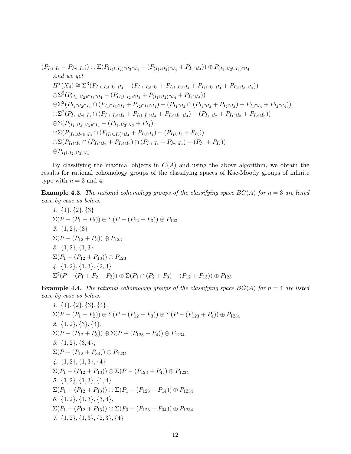$(P_{I_1 \cap I_4} + P_{I_2 \cap I_4})$ )  $\oplus$   $\Sigma (P_{(I_1 \cup I_2) \cap I_3 \cap I_4} - (P_{(I_1 \cup I_2) \cap I_4} + P_{I_3 \cap I_4}))$   $\oplus$   $P_{(I_1 \cup I_2 \cup I_3) \cap I_4}$ And we get  $H^*(X_4) \cong \Sigma^3(P_{I_1 \cap I_2 \cap I_3 \cap I_4} - (P_{I_1 \cap I_2 \cap I_3} + P_{I_1 \cap I_2 \cap I_4} + P_{I_1 \cap I_3 \cap I_4} + P_{I_2 \cap I_3 \cap I_4})$  $\oplus \Sigma^2 (P_{(I_1 \cup I_2) \cap I_3 \cap I_4} - (P_{(I_1 \cup I_2) \cap I_3} + P_{(I_1 \cup I_2) \cap I_4} + P_{I_3 \cap I_4}))$  $\oplus \Sigma^2 (P_{I_1 \cap I_2 \cap I_4} \cap (P_{I_1 \cap I_3 \cap I_4} + P_{I_2 \cap I_3 \cap I_4}) - (P_{I_1 \cap I_2} \cap (P_{I_1 \cap I_3} + P_{I_2 \cap I_3}) + P_{I_1 \cap I_4} + P_{I_2 \cap I_4}))$  $\oplus \Sigma^2 (P_{I_1 \cap I_2 \cap I_3} \cap (P_{I_1 \cap I_2 \cap I_4} + P_{I_1 \cap I_3 \cap I_4} + P_{I_2 \cap I_3 \cap I_4}) - (P_{I_1 \cap I_2} + P_{I_1 \cap I_3} + P_{I_2 \cap I_3}))$  $\oplus \Sigma (P_{(I_1 \cup I_2 \cup I_3) \cap I_4} - (P_{I_1 \cup I_2 \cup I_3} + P_{I_4})$  $\oplus \Sigma (P_{(I_1 \cup I_2) \cap I_3} \cap (P_{(I_1 \cup I_2) \cap I_4} + P_{I_3 \cap I_4}) - (P_{I_1 \cup I_2} + P_{I_3}))$  $\oplus \Sigma (P_{I_1 \cap I_2} \cap (P_{I_1 \cap I_3} + P_{I_2 \cap I_3}) \cap (P_{I_1 \cap I_4} + P_{I_2 \cap I_4}) - (P_{I_1} + P_{I_2}))$  $\oplus P_{I_1\cup I_2\cup I_3\cup I_4}$ 

By classifying the maximal objects in  $C(A)$  and using the above algorithm, we obtain the results for rational cohomology groups of the classifying spaces of Kac-Moody groups of infinite type with  $n = 3$  and 4.

**Example 4.3.** The rational cohomology groups of the classifying space  $BG(A)$  for  $n = 3$  are listed case by case as below.

1. {1}, {2}, {3}  $\Sigma(P-(P_1+P_2)) \oplus \Sigma(P-(P_{12}+P_3)) \oplus P_{123}$ 2. {1, 2}, {3}  $\Sigma(P-(P_{12}+P_3))\oplus P_{123}$ 3. {1, 2}, {1, 3}  $\Sigma(P_1 - (P_{12} + P_{13})) \oplus P_{123}$ 4. {1, 2}, {1, 3}, {2, 3}  $\Sigma^2(P-(P_1+P_2+P_3))\oplus \Sigma(P_1\cap (P_2+P_3)-(P_{12}+P_{13}))\oplus P_{123}$ 

**Example 4.4.** The rational cohomology groups of the classifying space  $BG(A)$  for  $n = 4$  are listed case by case as below.

1.  $\{1\}, \{2\}, \{3\}, \{4\},$  $\Sigma(P-(P_1+P_2))\oplus \Sigma(P-(P_{12}+P_3))\oplus \Sigma(P-(P_{123}+P_4))\oplus P_{1234}$ 2.  $\{1, 2\}, \{3\}, \{4\},$  $\Sigma(P-(P_{12}+P_3))\oplus \Sigma(P-(P_{123}+P_4))\oplus P_{1234}$ 3.  $\{1,2\}, \{3,4\},\$  $\Sigma(P-(P_{12}+P_{34}))\oplus P_{1234}$  $\{4, \{1,2\}, \{1,3\}, \{4\}$  $\Sigma(P_1 - (P_{12} + P_{13})) \oplus \Sigma(P - (P_{123} + P_4)) \oplus P_{1234}$ 5. {1, 2}, {1, 3}, {1, 4}  $\Sigma(P_1 - (P_{12} + P_{13})) \oplus \Sigma(P_1 - (P_{123} + P_{14})) \oplus P_{1234}$ 6.  $\{1, 2\}, \{1, 3\}, \{3, 4\},$  $\Sigma(P_1 - (P_{12} + P_{13})) \oplus \Sigma(P_3 - (P_{123} + P_{34})) \oplus P_{1234}$ 7.  $\{1,2\}, \{1,3\}, \{2,3\}, \{4\}$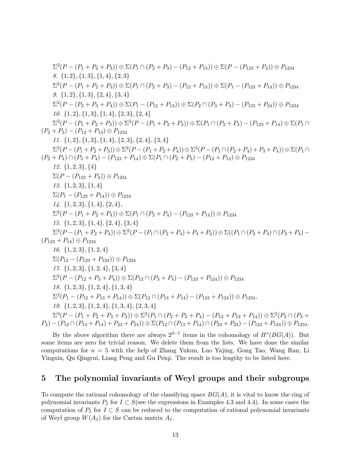$$
\Sigma^{2}(P-(P_{1}+P_{2}+P_{3}))\oplus\Sigma(P\cap (P_{2}+P_{3})-(P_{12}+P_{13}))\oplus\Sigma(P-(P_{123}+P_{4}))\oplus P_{1234}
$$
  
\n8. {1, 2}, {1, 3}, {1, 4}, {2, 3}  
\n8. {2(P-(P\_{1}+P\_{2}+P\_{3}))\oplus\Sigma(P\cap (P\_{2}+P\_{3})-(P\_{12}+P\_{13}))\oplus\Sigma(P\_{1}-(P\_{123}+P\_{14}))\oplus P\_{1234}  
\n9. {1, 2}, {1, 3}, {2, 4}, {3, 4}  
\n10. {1, 2}, {1, 3}, {1, 4}, {2, 3}, {2, 4}  
\n10. {1, 2}, {1, 3}, {1, 4}, {2, 3}, {2, 4}  
\n11. {2, 4}, {3, 4}, {4, 4}, {2, 3}, {2, 4}  
\n12. {2(P-(P\_{1}+P\_{2}+P\_{3}))\oplus\Sigma^{2}(P-(P\_{1}+P\_{2}+P\_{4}))\oplus\Sigma(P\_{1}\cap (P\_{2}+P\_{4})-(P\_{123}+P\_{14})\oplus\Sigma(P\_{1}\cap (P\_{2}+P\_{3})-(P\_{12}+P\_{3})\oplus P\_{1234}  
\n11. {1, 2}, {1, 3}, {1, 4}, {2, 3}, {2, 4}, {3, 4}  
\n12. {1, 2}, {1, 3}, {1, 4}, {2, 3}, {2, 4}, {3, 4}  
\n13. {2^2(P-(P\_{1}+P\_{2}+P\_{3}))\oplus\Sigma^{2}(P-(P\_{1}+P\_{2}+P\_{3})-(P\_{12}+P\_{13})\oplus P\_{1234}  
\n12. {1, 2, 3}, {4}  
\n12. {1, 2, 3}, {4}  
\n13. {1, 2, 3}, {4}  
\n14. {1, 2, 3}, {4}  
\n15. {1, 2, 3}, {4, 4}  
\n16. {1, 2, 3}, {4, 4}, {4, 4}  
\n17. {12, 3}, {4, 4}, {4, 4

By the above algorithm there are always  $2^{d-1}$  items in the cohomology of  $H^*(BG(A))$ . But some items are zero for trivial reason. We delete them from the lists. We have done the similar computations for  $n = 5$  with the help of Zhang Yukun, Luo Yajing, Gong Tao, Wang Ran, Li Yingxin, Qu Qingrui, Liang Peng and Gu Peiqi. The result is too lengthy to be listed here.

#### 5 The polynomial invariants of Weyl groups and their subgroups

To compute the rational cohomology of the classifying space  $BG(A)$ , it is vital to know the ring of polynomial invariants  $P_I$  for  $I \subset S$ (see the expressions in Examples 4.3 and 4.4). In some cases the computation of  $P_I$  for  $I \subset S$  can be reduced to the computation of rational polynomial invariants of Weyl group  $W(A_I)$  for the Cartan matrix  $A_I$ .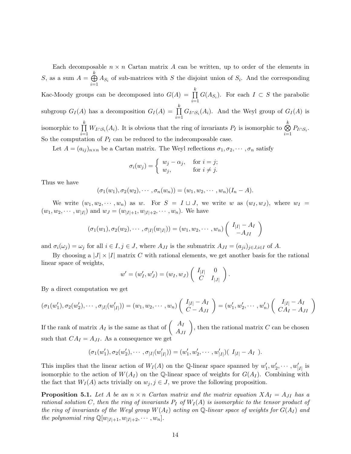Each decomposable  $n \times n$  Cartan matrix A can be written, up to order of the elements in S, as a sum  $A = \bigoplus$ k  $i=1$  $A_{S_i}$  of sub-matrices with S the disjoint union of  $S_i$ . And the corresponding Kac-Moody groups can be decomposed into  $G(A) = \prod$ k  $\prod_{i=1} G(A_{S_i})$ . For each  $I \subset S$  the parabolic subgroup  $G_I(A)$  has a decomposition  $G_I(A) = \prod$ k  $\prod_{i=1} G_{I \cap S_i}(A_i)$ . And the Weyl group of  $G_I(A)$  is isomorphic to  $\prod$ k  $\prod_{i=1} W_{I \cap S_i}(A_i)$ . It is obvious that the ring of invariants  $P_I$  is isomorphic to  $\bigotimes_{i=1}$ k  $\bigotimes_{i=1} P_{I\cap S_i}.$ So the computation of  $P_I$  can be reduced to the indecomposable case.

Let  $A = (a_{ij})_{n \times n}$  be a Cartan matrix. The Weyl reflections  $\sigma_1, \sigma_2, \cdots, \sigma_n$  satisfy

$$
\sigma_i(w_j) = \begin{cases} w_j - \alpha_j, & \text{for } i = j; \\ w_j, & \text{for } i \neq j. \end{cases}
$$

Thus we have

$$
(\sigma_1(w_1), \sigma_2(w_2), \cdots, \sigma_n(w_n)) = (w_1, w_2, \cdots, w_n)(I_n - A).
$$

We write  $(w_1, w_2, \dots, w_n)$  as w. For  $S = I \sqcup J$ , we write w as  $(w_I, w_J)$ , where  $w_I =$  $(w_1, w_2, \dots, w_{|I|})$  and  $w_J = (w_{|I|+1}, w_{|I|+2}, \dots, w_n)$ . We have

$$
(\sigma_1(w_1), \sigma_2(w_2), \cdots, \sigma_{|I|}(w_{|I|})) = (w_1, w_2, \cdots, w_n) \begin{pmatrix} I_{|I|} - A_I \\ -A_{JI} \end{pmatrix}
$$

and  $\sigma_i(\omega_j) = \omega_j$  for all  $i \in I, j \in J$ , where  $A_{JI}$  is the submatrix  $A_{JI} = (a_{ji})_{j \in J, i \in I}$  of A.

By choosing a  $|J| \times |I|$  matrix C with rational elements, we get another basis for the rational linear space of weights,

$$
w' = (w'_I, w'_J) = (w_I, w_J) \begin{pmatrix} I_{|I|} & 0 \\ C & I_{|J|} \end{pmatrix}.
$$

By a direct computation we get

$$
(\sigma_1(w'_1), \sigma_2(w'_2), \cdots, \sigma_{|I|}(w'_{|I|})) = (w_1, w_2, \cdots, w_n) \left( \begin{array}{c} I_{|I|} - A_I \\ C - A_{JI} \end{array} \right) = (w'_1, w'_2, \cdots, w'_n) \left( \begin{array}{c} I_{|I|} - A_I \\ C A_I - A_{JI} \end{array} \right)
$$

If the rank of matrix  $A_I$  is the same as that of  $\begin{pmatrix} A_I \\ A_{JI} \end{pmatrix}$ , then the rational matrix C can be chosen such that  $CA_I = A_{JI}$ . As a consequence we get

$$
(\sigma_1(w'_1), \sigma_2(w'_2), \cdots, \sigma_{|I|}(w'_{|I|})) = (w'_1, w'_2, \cdots, w'_{|I|})(I_{|I|} - A_I).
$$

This implies that the linear action of  $W_I(A)$  on the Q-linear space spanned by  $w'_1, w'_2, \cdots, w'_{|I|}$  is isomorphic to the action of  $W(A_I)$  on the Q-linear space of weights for  $G(A_I)$ . Combining with the fact that  $W_I(A)$  acts trivially on  $w_j, j \in J$ , we prove the following proposition.

**Proposition 5.1.** Let A be an  $n \times n$  Cartan matrix and the matrix equation  $XA_I = A_{JI}$  has a rational solution C, then the ring of invariants  $P_I$  of  $W_I(A)$  is isomorphic to the tensor product of the ring of invariants of the Weyl group  $W(A_I)$  acting on Q-linear space of weights for  $G(A_I)$  and the polynomial ring  $\mathbb{Q}[w_{|I|+1}, w_{|I|+2}, \cdots, w_n].$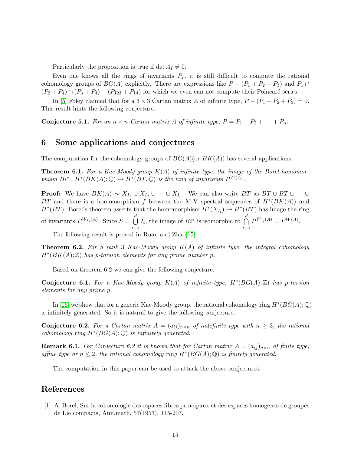Particularly the proposition is true if det  $A_I \neq 0$ .

Even one knows all the rings of invariants  $P<sub>I</sub>$ , it is still difficult to compute the rational cohomology groups of  $BG(A)$  explicitly. There are expressions like  $P - (P_1 + P_2 + P_3)$  and  $P_1 \cap$  $(P_2 + P_4) \cap (P_3 + P_4) - (P_{123} + P_{14})$  for which we even can not compute their Poincaré series.

In [\[5\]](#page-15-12) Foley claimed that for a  $3 \times 3$  Cartan matrix A of infinite type,  $P - (P_1 + P_2 + P_3) = 0$ . This result hints the following conjecture.

**Conjecture 5.1.** For an  $n \times n$  Cartan matrix A of infinite type,  $P = P_1 + P_2 + \cdots + P_n$ .

#### 6 Some applications and conjectures

The computation for the cohomology groups of  $BG(A)(or BK(A))$  has several applications.

**Theorem 6.1.** For a Kac-Moody group  $K(A)$  of infinite type, the image of the Borel homomorphism  $Bi^*: H^*(BK(A); \mathbb{Q}) \to H^*(BT, \mathbb{Q})$  is the ring of invariants  $P^{W(A)}$ .

**Proof:** We have  $BK(A) \sim X_{I_1} \cup X_{I_2} \cup \cdots \cup X_{I_d}$ . We can also write BT as  $BT \cup BT \cup \cdots \cup$ BT and there is a homomorphism f between the M-V spectral sequences of  $H^*(BK(A))$  and  $H^*(BT)$ . Borel's theorem asserts that the homomorphism  $H^*(X_{I_i}) \to H^*(BT)$  has image the ring of invariants  $P^{W_{I_i}(A)}$ . Since  $S = \overline{U}$ d  $i=1$  $I_i$ , the image of  $Bi^*$  is isomorphic to ∩ d  $i=1$  $P^{W_{I_i}(A)} = P^{W(A)}.$ 

The following result is proved in Ruan and Zhao[\[15\]](#page-15-13).

**Theorem 6.2.** For a rank 3 Kac-Moody group  $K(A)$  of infinite type, the integral cohomology  $H^*(BK(A); \mathbb{Z})$  has p-torsion elements for any prime number p.

Based on theorem 6.2 we can give the following conjecture.

Conjecture 6.1. For a Kac-Moody group  $K(A)$  of infinite type,  $H^*(BG(A); \mathbb{Z})$  has p-torsion elements for any prime p.

In [\[16\]](#page-15-11) we show that for a generic Kac-Moody group, the rational cohomology ring  $H^*(BG(A); \mathbb{Q})$ is infinitely generated. So it is natural to give the following conjecture.

**Conjecture 6.2.** For a Cartan matrix  $A = (a_{ij})_{n \times n}$  of indefinite type with  $n \geq 3$ , the rational cohomology ring  $H^*(BG(A); \mathbb{Q})$  is infinitely generated.

**Remark 6.1.** For Conjecture 6.2 it is known that for Cartan matrix  $A = (a_{ij})_{n \times n}$  of finite type, affine type or  $n \leq 2$ , the rational cohomology ring  $H^*(BG(A);\mathbb{Q})$  is finitely generated.

The computation in this paper can be used to attack the above conjectures.

### <span id="page-14-0"></span>References

[1] A. Borel, Sur la cohomologie des espaces fibres principaux et des espaces homogenes de groupes de Lie compacts, Ann.math. 57(1953), 115-207.